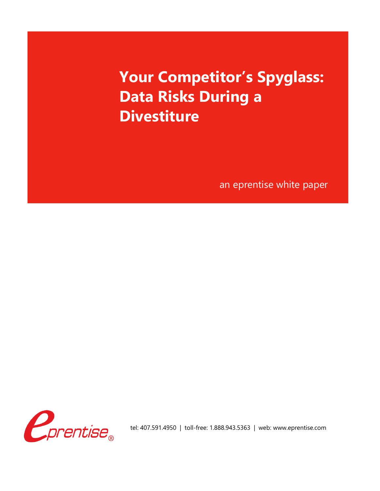# **Your Competitor's Spyglass: Data Risks During a Divestiture**

an eprentise white paper



tel: 407.591.4950 | toll-free: 1.888.943.5363 | web: www.eprentise.com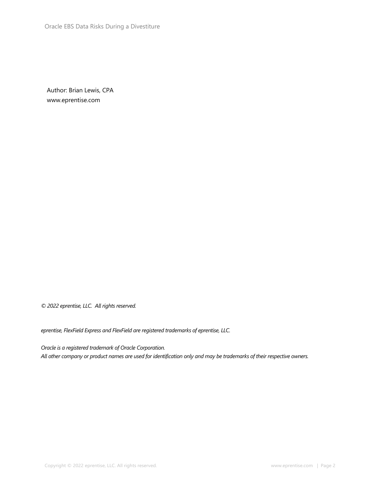Author: Brian Lewis, CPA [www.eprentise.com](http://www.eprentise.com/)

*© 2022 eprentise, LLC. All rights reserved.*

*eprentise, FlexField Express and FlexField are registered trademarks of eprentise, LLC.*

*Oracle is a registered trademark of Oracle Corporation. All other company or product names are used for identification only and may be trademarks of their respective owners.*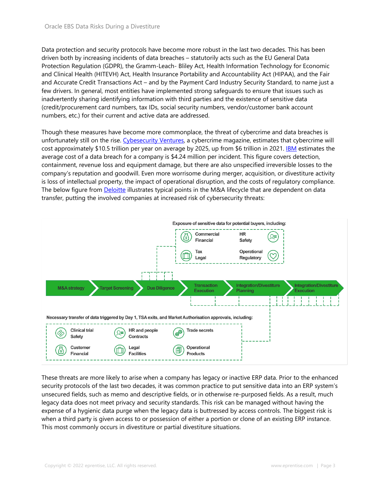Data protection and security protocols have become more robust in the last two decades. This has been driven both by increasing incidents of data breaches – statutorily acts such as the EU General Data Protection Regulation (GDPR), the Gramm-Leach- Bliley Act, Health Information Technology for Economic and Clinical Health (HITEVH) Act, Health Insurance Portability and Accountability Act (HIPAA), and the Fair and Accurate Credit Transactions Act – and by the Payment Card Industry Security Standard, to name just a few drivers. In general, most entities have implemented strong safeguards to ensure that issues such as inadvertently sharing identifying information with third parties and the existence of sensitive data (credit/procurement card numbers, tax IDs, social security numbers, vendor/customer bank account numbers, etc.) for their current and active data are addressed.

Though these measures have become more commonplace, the threat of cybercrime and data breaches is unfortunately still on the rise. [Cybesecurity Ventures,](https://cybersecurityventures.com/cybercrime-damage-costs-10-trillion-by-2025/) a cybercrime magazine, estimates that cybercrime will cost approximately \$10.5 trillion per year on average by 2025, up from \$6 trillion in 2021. **[IBM](https://www.ibm.com/security/data-breach)** estimates the average cost of a data breach for a company is \$4.24 million per incident. This figure covers detection, containment, revenue loss and equipment damage, but there are also unspecified irreversible losses to the company's reputation and goodwill. Even more worrisome during merger, acquisition, or divestiture activity is loss of intellectual property, the impact of operational disruption, and the costs of regulatory compliance. The below figure from **Deloitte** illustrates typical points in the M&A lifecycle that are dependent on data transfer, putting the involved companies at increased risk of cybersecurity threats:



These threats are more likely to arise when a company has legacy or inactive ERP data. Prior to the enhanced security protocols of the last two decades, it was common practice to put sensitive data into an ERP system's unsecured fields, such as memo and descriptive fields, or in otherwise re-purposed fields. As a result, much legacy data does not meet privacy and security standards. This risk can be managed without having the expense of a hygienic data purge when the legacy data is buttressed by access controls. The biggest risk is when a third party is given access to or possession of either a portion or clone of an existing ERP instance. This most commonly occurs in divestiture or partial divestiture situations.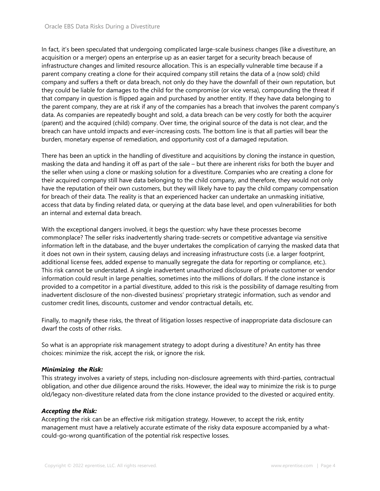In fact, it's been speculated that undergoing complicated large-scale business changes (like a divestiture, an acquisition or a merger) opens an enterprise up as an easier target for a security breach because of infrastructure changes and limited resource allocation. This is an especially vulnerable time because if a parent company creating a clone for their acquired company still retains the data of a (now sold) child company and suffers a theft or data breach, not only do they have the downfall of their own reputation, but they could be liable for damages to the child for the compromise (or vice versa), compounding the threat if that company in question is flipped again and purchased by another entity. If they have data belonging to the parent company, they are at risk if any of the companies has a breach that involves the parent company's data. As companies are repeatedly bought and sold, a data breach can be very costly for both the acquirer (parent) and the acquired (child) company. Over time, the original source of the data is not clear, and the breach can have untold impacts and ever-increasing costs. The bottom line is that all parties will bear the burden, monetary expense of remediation, and opportunity cost of a damaged reputation.

There has been an uptick in the handling of divestiture and acquisitions by cloning the instance in question, masking the data and handing it off as part of the sale – but there are inherent risks for both the buyer and the seller when using a clone or masking solution for a divestiture. Companies who are creating a clone for their acquired company still have data belonging to the child company, and therefore, they would not only have the reputation of their own customers, but they will likely have to pay the child company compensation for breach of their data. The reality is that an experienced hacker can undertake an unmasking initiative, access that data by finding related data, or querying at the data base level, and open vulnerabilities for both an internal and external data breach.

With the exceptional dangers involved, it begs the question: why have these processes become commonplace? The seller risks inadvertently sharing trade-secrets or competitive advantage via sensitive information left in the database, and the buyer undertakes the complication of carrying the masked data that it does not own in their system, causing delays and increasing infrastructure costs (i.e. a larger footprint, additional license fees, added expense to manually segregate the data for reporting or compliance, etc.). This risk cannot be understated. A single inadvertent unauthorized disclosure of private customer or vendor information could result in large penalties, sometimes into the millions of dollars. If the clone instance is provided to a competitor in a partial divestiture, added to this risk is the possibility of damage resulting from inadvertent disclosure of the non-divested business' proprietary strategic information, such as vendor and customer credit lines, discounts, customer and vendor contractual details, etc.

Finally, to magnify these risks, the threat of litigation losses respective of inappropriate data disclosure can dwarf the costs of other risks.

So what is an appropriate risk management strategy to adopt during a divestiture? An entity has three choices: minimize the risk, accept the risk, or ignore the risk.

# *Minimizing the Risk:*

This strategy involves a variety of steps, including non-disclosure agreements with third-parties, contractual obligation, and other due diligence around the risks. However, the ideal way to minimize the risk is to purge old/legacy non-divestiture related data from the clone instance provided to the divested or acquired entity.

### *Accepting the Risk:*

Accepting the risk can be an effective risk mitigation strategy. However, to accept the risk, entity management must have a relatively accurate estimate of the risky data exposure accompanied by a whatcould-go-wrong quantification of the potential risk respective losses.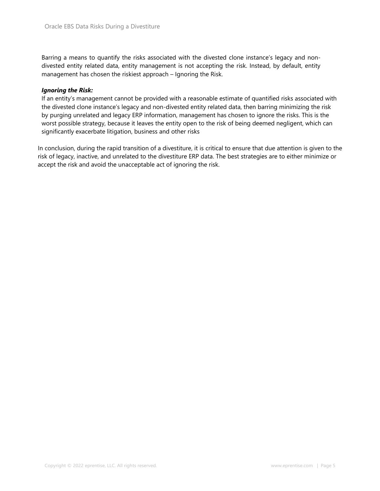Barring a means to quantify the risks associated with the divested clone instance's legacy and nondivested entity related data, entity management is not accepting the risk. Instead, by default, entity management has chosen the riskiest approach – Ignoring the Risk.

## *Ignoring the Risk:*

If an entity's management cannot be provided with a reasonable estimate of quantified risks associated with the divested clone instance's legacy and non-divested entity related data, then barring minimizing the risk by purging unrelated and legacy ERP information, management has chosen to ignore the risks. This is the worst possible strategy, because it leaves the entity open to the risk of being deemed negligent, which can significantly exacerbate litigation, business and other risks

In conclusion, during the rapid transition of a divestiture, it is critical to ensure that due attention is given to the risk of legacy, inactive, and unrelated to the divestiture ERP data. The best strategies are to either minimize or accept the risk and avoid the unacceptable act of ignoring the risk.